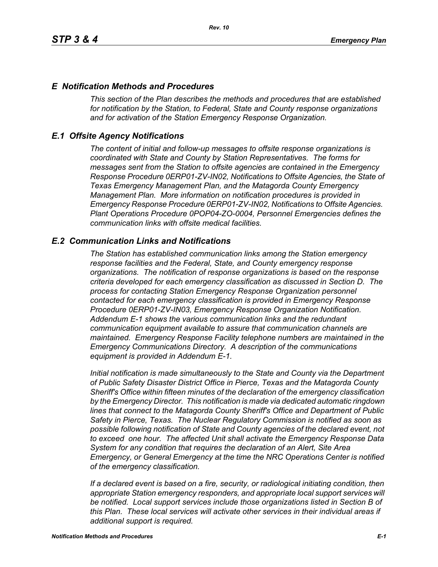### *E Notification Methods and Procedures*

*This section of the Plan describes the methods and procedures that are established for notification by the Station, to Federal, State and County response organizations and for activation of the Station Emergency Response Organization.*

### *E.1 Offsite Agency Notifications*

*The content of initial and follow-up messages to offsite response organizations is coordinated with State and County by Station Representatives. The forms for messages sent from the Station to offsite agencies are contained in the Emergency Response Procedure 0ERP01-ZV-IN02, Notifications to Offsite Agencies, the State of Texas Emergency Management Plan, and the Matagorda County Emergency Management Plan. More information on notification procedures is provided in Emergency Response Procedure 0ERP01-ZV-IN02, Notifications to Offsite Agencies. Plant Operations Procedure 0POP04-ZO-0004, Personnel Emergencies defines the communication links with offsite medical facilities.*

### *E.2 Communication Links and Notifications*

*The Station has established communication links among the Station emergency response facilities and the Federal, State, and County emergency response organizations. The notification of response organizations is based on the response criteria developed for each emergency classification as discussed in Section D. The process for contacting Station Emergency Response Organization personnel contacted for each emergency classification is provided in Emergency Response Procedure 0ERP01-ZV-IN03, Emergency Response Organization Notification. Addendum E-1 shows the various communication links and the redundant communication equipment available to assure that communication channels are maintained. Emergency Response Facility telephone numbers are maintained in the Emergency Communications Directory. A description of the communications equipment is provided in Addendum E-1.*

*Initial notification is made simultaneously to the State and County via the Department of Public Safety Disaster District Office in Pierce, Texas and the Matagorda County Sheriff's Office within fifteen minutes of the declaration of the emergency classification by the Emergency Director. This notification is made via dedicated automatic ringdown lines that connect to the Matagorda County Sheriff's Office and Department of Public Safety in Pierce, Texas. The Nuclear Regulatory Commission is notified as soon as possible following notification of State and County agencies of the declared event, not to exceed one hour. The affected Unit shall activate the Emergency Response Data System for any condition that requires the declaration of an Alert, Site Area Emergency, or General Emergency at the time the NRC Operations Center is notified of the emergency classification.*

*If a declared event is based on a fire, security, or radiological initiating condition, then appropriate Station emergency responders, and appropriate local support services will be notified. Local support services include those organizations listed in Section B of this Plan. These local services will activate other services in their individual areas if additional support is required.*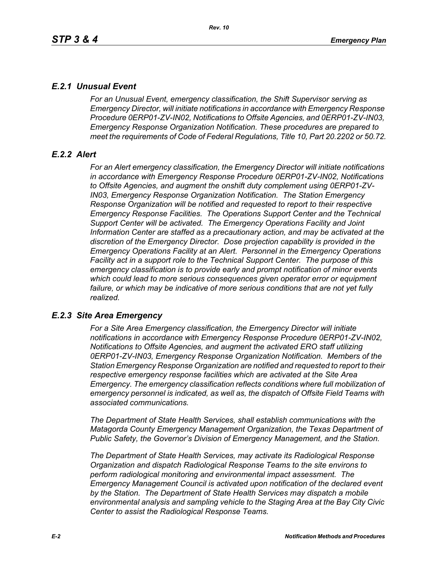# *E.2.1 Unusual Event*

*For an Unusual Event, emergency classification, the Shift Supervisor serving as Emergency Director, will initiate notifications in accordance with Emergency Response Procedure 0ERP01-ZV-IN02, Notifications to Offsite Agencies, and 0ERP01-ZV-IN03, Emergency Response Organization Notification. These procedures are prepared to meet the requirements of Code of Federal Regulations, Title 10, Part 20.2202 or 50.72.*

# *E.2.2 Alert*

*For an Alert emergency classification, the Emergency Director will initiate notifications in accordance with Emergency Response Procedure 0ERP01-ZV-IN02, Notifications to Offsite Agencies, and augment the onshift duty complement using 0ERP01-ZV-IN03, Emergency Response Organization Notification. The Station Emergency Response Organization will be notified and requested to report to their respective Emergency Response Facilities. The Operations Support Center and the Technical Support Center will be activated. The Emergency Operations Facility and Joint Information Center are staffed as a precautionary action, and may be activated at the discretion of the Emergency Director. Dose projection capability is provided in the Emergency Operations Facility at an Alert. Personnel in the Emergency Operations Facility act in a support role to the Technical Support Center. The purpose of this emergency classification is to provide early and prompt notification of minor events which could lead to more serious consequences given operator error or equipment*  failure, or which may be indicative of more serious conditions that are not yet fully *realized.*

# *E.2.3 Site Area Emergency*

*For a Site Area Emergency classification, the Emergency Director will initiate notifications in accordance with Emergency Response Procedure 0ERP01-ZV-IN02, Notifications to Offsite Agencies, and augment the activated ERO staff utilizing 0ERP01-ZV-IN03, Emergency Response Organization Notification. Members of the Station Emergency Response Organization are notified and requested to report to their respective emergency response facilities which are activated at the Site Area Emergency. The emergency classification reflects conditions where full mobilization of emergency personnel is indicated, as well as, the dispatch of Offsite Field Teams with associated communications.*

*The Department of State Health Services, shall establish communications with the Matagorda County Emergency Management Organization, the Texas Department of Public Safety, the Governor's Division of Emergency Management, and the Station.* 

*The Department of State Health Services, may activate its Radiological Response Organization and dispatch Radiological Response Teams to the site environs to perform radiological monitoring and environmental impact assessment. The Emergency Management Council is activated upon notification of the declared event by the Station. The Department of State Health Services may dispatch a mobile environmental analysis and sampling vehicle to the Staging Area at the Bay City Civic Center to assist the Radiological Response Teams.*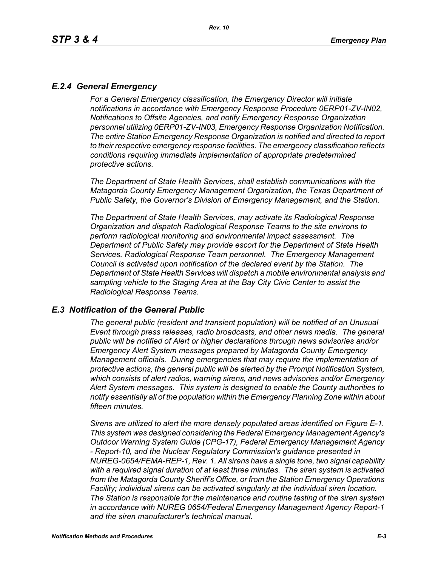# *E.2.4 General Emergency*

*For a General Emergency classification, the Emergency Director will initiate notifications in accordance with Emergency Response Procedure 0ERP01-ZV-IN02, Notifications to Offsite Agencies, and notify Emergency Response Organization personnel utilizing 0ERP01-ZV-IN03, Emergency Response Organization Notification. The entire Station Emergency Response Organization is notified and directed to report to their respective emergency response facilities. The emergency classification reflects conditions requiring immediate implementation of appropriate predetermined protective actions.*

*The Department of State Health Services, shall establish communications with the Matagorda County Emergency Management Organization, the Texas Department of Public Safety, the Governor's Division of Emergency Management, and the Station.*

*The Department of State Health Services, may activate its Radiological Response Organization and dispatch Radiological Response Teams to the site environs to perform radiological monitoring and environmental impact assessment. The Department of Public Safety may provide escort for the Department of State Health Services, Radiological Response Team personnel. The Emergency Management Council is activated upon notification of the declared event by the Station. The Department of State Health Services will dispatch a mobile environmental analysis and sampling vehicle to the Staging Area at the Bay City Civic Center to assist the Radiological Response Teams.*

#### *E.3 Notification of the General Public*

*The general public (resident and transient population) will be notified of an Unusual Event through press releases, radio broadcasts, and other news media. The general public will be notified of Alert or higher declarations through news advisories and/or Emergency Alert System messages prepared by Matagorda County Emergency Management officials. During emergencies that may require the implementation of protective actions, the general public will be alerted by the Prompt Notification System, which consists of alert radios, warning sirens, and news advisories and/or Emergency Alert System messages. This system is designed to enable the County authorities to notify essentially all of the population within the Emergency Planning Zone within about fifteen minutes.* 

*Sirens are utilized to alert the more densely populated areas identified on Figure E-1. This system was designed considering the Federal Emergency Management Agency's Outdoor Warning System Guide (CPG-17), Federal Emergency Management Agency - Report-10, and the Nuclear Regulatory Commission's guidance presented in NUREG-0654/FEMA-REP-1, Rev. 1. All sirens have a single tone, two signal capability with a required signal duration of at least three minutes. The siren system is activated from the Matagorda County Sheriff's Office, or from the Station Emergency Operations Facility; individual sirens can be activated singularly at the individual siren location. The Station is responsible for the maintenance and routine testing of the siren system in accordance with NUREG 0654/Federal Emergency Management Agency Report-1 and the siren manufacturer's technical manual.*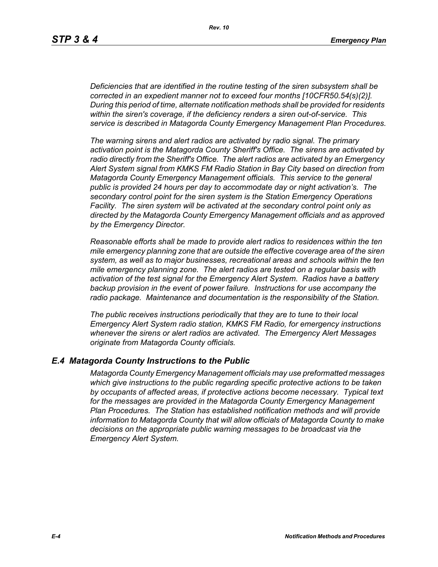*Deficiencies that are identified in the routine testing of the siren subsystem shall be corrected in an expedient manner not to exceed four months [10CFR50.54(s)(2)]. During this period of time, alternate notification methods shall be provided for residents within the siren's coverage, if the deficiency renders a siren out-of-service. This service is described in Matagorda County Emergency Management Plan Procedures.*

*The warning sirens and alert radios are activated by radio signal. The primary activation point is the Matagorda County Sheriff's Office. The sirens are activated by radio directly from the Sheriff's Office. The alert radios are activated by an Emergency Alert System signal from KMKS FM Radio Station in Bay City based on direction from Matagorda County Emergency Management officials. This service to the general public is provided 24 hours per day to accommodate day or night activation's. The secondary control point for the siren system is the Station Emergency Operations Facility. The siren system will be activated at the secondary control point only as directed by the Matagorda County Emergency Management officials and as approved by the Emergency Director.* 

*Reasonable efforts shall be made to provide alert radios to residences within the ten mile emergency planning zone that are outside the effective coverage area of the siren system, as well as to major businesses, recreational areas and schools within the ten mile emergency planning zone. The alert radios are tested on a regular basis with activation of the test signal for the Emergency Alert System. Radios have a battery backup provision in the event of power failure. Instructions for use accompany the radio package. Maintenance and documentation is the responsibility of the Station.* 

*The public receives instructions periodically that they are to tune to their local Emergency Alert System radio station, KMKS FM Radio, for emergency instructions whenever the sirens or alert radios are activated. The Emergency Alert Messages originate from Matagorda County officials.* 

#### *E.4 Matagorda County Instructions to the Public*

*Matagorda County Emergency Management officials may use preformatted messages which give instructions to the public regarding specific protective actions to be taken by occupants of affected areas, if protective actions become necessary. Typical text for the messages are provided in the Matagorda County Emergency Management Plan Procedures. The Station has established notification methods and will provide information to Matagorda County that will allow officials of Matagorda County to make decisions on the appropriate public warning messages to be broadcast via the Emergency Alert System.*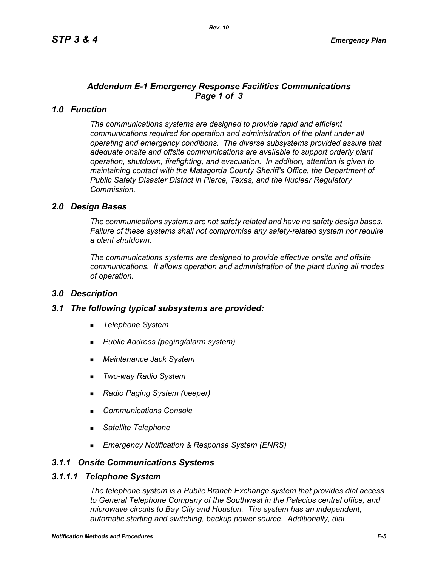# *Addendum E-1 Emergency Response Facilities Communications Page 1 of 3*

### *1.0 Function*

*The communications systems are designed to provide rapid and efficient communications required for operation and administration of the plant under all operating and emergency conditions. The diverse subsystems provided assure that adequate onsite and offsite communications are available to support orderly plant operation, shutdown, firefighting, and evacuation. In addition, attention is given to maintaining contact with the Matagorda County Sheriff's Office, the Department of Public Safety Disaster District in Pierce, Texas, and the Nuclear Regulatory Commission.*

### *2.0 Design Bases*

*The communications systems are not safety related and have no safety design bases. Failure of these systems shall not compromise any safety-related system nor require a plant shutdown.*

*The communications systems are designed to provide effective onsite and offsite communications. It allows operation and administration of the plant during all modes of operation.*

#### *3.0 Description*

#### *3.1 The following typical subsystems are provided:*

- *Telephone System*
- *Public Address (paging/alarm system)*
- *Maintenance Jack System*
- *Two-way Radio System*
- *Radio Paging System (beeper)*
- *Communications Console*
- *Satellite Telephone*
- *Emergency Notification & Response System (ENRS)*

#### *3.1.1 Onsite Communications Systems*

#### *3.1.1.1 Telephone System*

*The telephone system is a Public Branch Exchange system that provides dial access to General Telephone Company of the Southwest in the Palacios central office, and microwave circuits to Bay City and Houston. The system has an independent, automatic starting and switching, backup power source. Additionally, dial*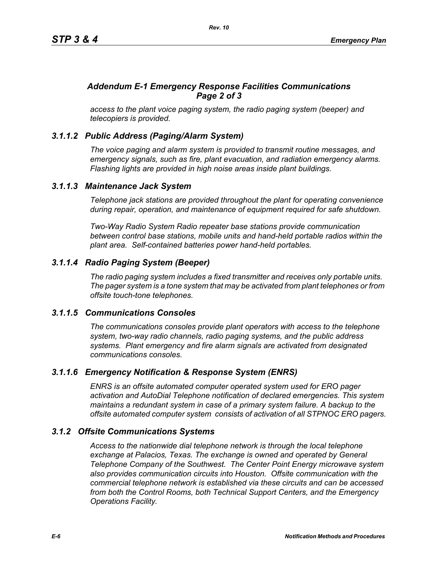# *Addendum E-1 Emergency Response Facilities Communications Page 2 of 3*

*access to the plant voice paging system, the radio paging system (beeper) and telecopiers is provided.*

# *3.1.1.2 Public Address (Paging/Alarm System)*

*The voice paging and alarm system is provided to transmit routine messages, and emergency signals, such as fire, plant evacuation, and radiation emergency alarms. Flashing lights are provided in high noise areas inside plant buildings.*

### *3.1.1.3 Maintenance Jack System*

*Telephone jack stations are provided throughout the plant for operating convenience during repair, operation, and maintenance of equipment required for safe shutdown.* 

*Two-Way Radio System Radio repeater base stations provide communication between control base stations, mobile units and hand-held portable radios within the plant area. Self-contained batteries power hand-held portables.* 

# *3.1.1.4 Radio Paging System (Beeper)*

*The radio paging system includes a fixed transmitter and receives only portable units. The pager system is a tone system that may be activated from plant telephones or from offsite touch-tone telephones.* 

#### *3.1.1.5 Communications Consoles*

*The communications consoles provide plant operators with access to the telephone system, two-way radio channels, radio paging systems, and the public address systems. Plant emergency and fire alarm signals are activated from designated communications consoles.*

# *3.1.1.6 Emergency Notification & Response System (ENRS)*

*ENRS is an offsite automated computer operated system used for ERO pager activation and AutoDial Telephone notification of declared emergencies. This system maintains a redundant system in case of a primary system failure. A backup to the offsite automated computer system consists of activation of all STPNOC ERO pagers.*

# *3.1.2 Offsite Communications Systems*

*Access to the nationwide dial telephone network is through the local telephone exchange at Palacios, Texas. The exchange is owned and operated by General Telephone Company of the Southwest. The Center Point Energy microwave system also provides communication circuits into Houston. Offsite communication with the commercial telephone network is established via these circuits and can be accessed from both the Control Rooms, both Technical Support Centers, and the Emergency Operations Facility.*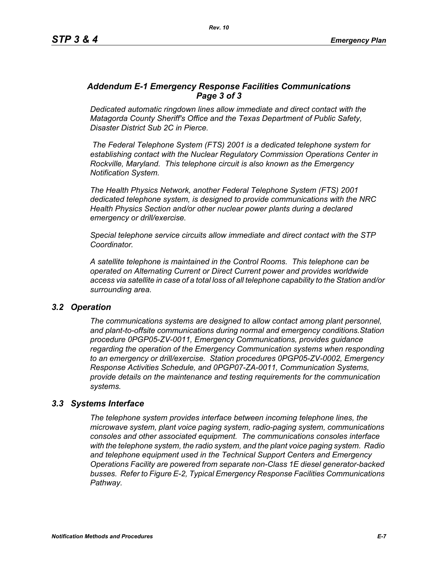### *Addendum E-1 Emergency Response Facilities Communications Page 3 of 3*

*Dedicated automatic ringdown lines allow immediate and direct contact with the Matagorda County Sheriff's Office and the Texas Department of Public Safety, Disaster District Sub 2C in Pierce.*

 *The Federal Telephone System (FTS) 2001 is a dedicated telephone system for establishing contact with the Nuclear Regulatory Commission Operations Center in Rockville, Maryland. This telephone circuit is also known as the Emergency Notification System.*

*The Health Physics Network, another Federal Telephone System (FTS) 2001 dedicated telephone system, is designed to provide communications with the NRC Health Physics Section and/or other nuclear power plants during a declared emergency or drill/exercise.*

*Special telephone service circuits allow immediate and direct contact with the STP Coordinator.*

*A satellite telephone is maintained in the Control Rooms. This telephone can be operated on Alternating Current or Direct Current power and provides worldwide access via satellite in case of a total loss of all telephone capability to the Station and/or surrounding area.*

#### *3.2 Operation*

*The communications systems are designed to allow contact among plant personnel, and plant-to-offsite communications during normal and emergency conditions.Station procedure 0PGP05-ZV-0011, Emergency Communications, provides guidance regarding the operation of the Emergency Communication systems when responding to an emergency or drill/exercise. Station procedures 0PGP05-ZV-0002, Emergency Response Activities Schedule, and 0PGP07-ZA-0011, Communication Systems, provide details on the maintenance and testing requirements for the communication systems.*

#### *3.3 Systems Interface*

*The telephone system provides interface between incoming telephone lines, the microwave system, plant voice paging system, radio-paging system, communications consoles and other associated equipment. The communications consoles interface with the telephone system, the radio system, and the plant voice paging system. Radio and telephone equipment used in the Technical Support Centers and Emergency Operations Facility are powered from separate non-Class 1E diesel generator-backed busses. Refer to Figure E-2, Typical Emergency Response Facilities Communications Pathway.*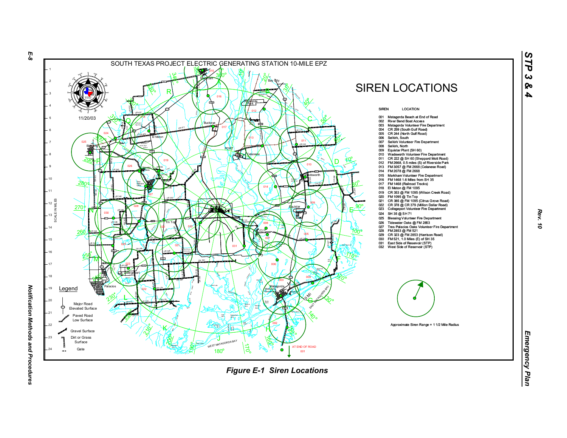

*Rev. 10*

*STP 3 & 4*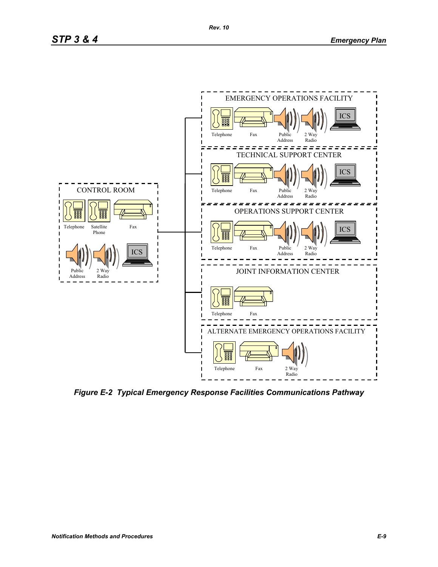

*Figure E-2 Typical Emergency Response Facilities Communications Pathway*